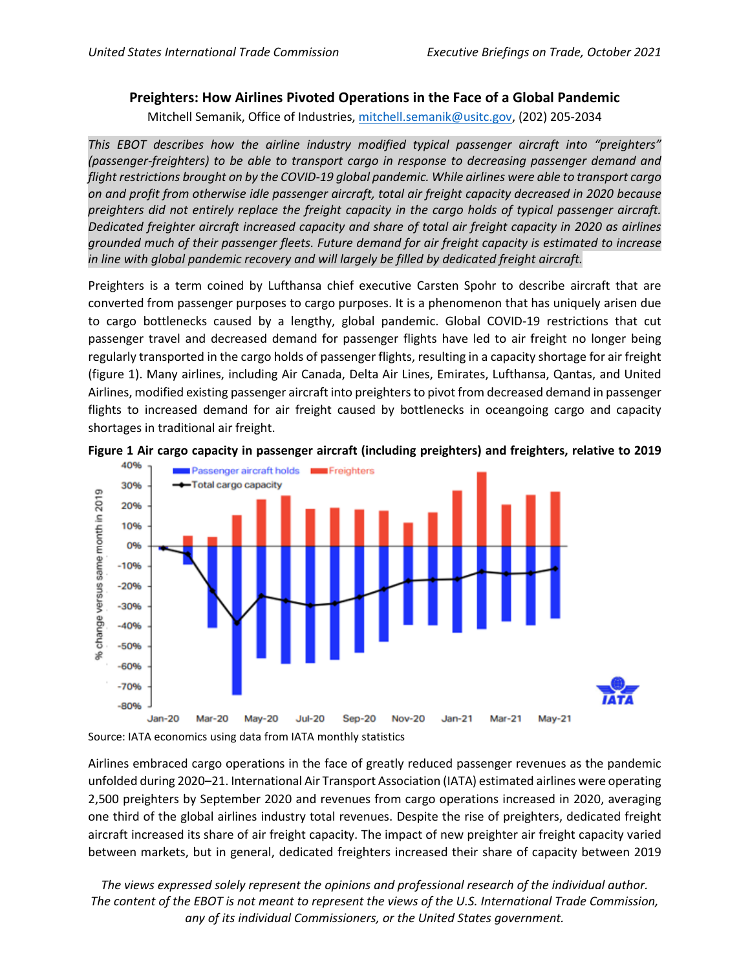## **Preighters: How Airlines Pivoted Operations in the Face of a Global Pandemic**

Mitchell Semanik, Office of Industries, [mitchell.semanik@usitc.gov,](mailto:mitchell.semanik@usitc.gov) (202) 205-2034

*This EBOT describes how the airline industry modified typical passenger aircraft into "preighters" (passenger-freighters) to be able to transport cargo in response to decreasing passenger demand and flight restrictions brought on by the COVID-19 global pandemic. While airlines were able to transport cargo on and profit from otherwise idle passenger aircraft, total air freight capacity decreased in 2020 because preighters did not entirely replace the freight capacity in the cargo holds of typical passenger aircraft. Dedicated freighter aircraft increased capacity and share of total air freight capacity in 2020 as airlines grounded much of their passenger fleets. Future demand for air freight capacity is estimated to increase in line with global pandemic recovery and will largely be filled by dedicated freight aircraft.*

Preighters is a term coined by Lufthansa chief executive Carsten Spohr to describe aircraft that are converted from passenger purposes to cargo purposes. It is a phenomenon that has uniquely arisen due to cargo bottlenecks caused by a lengthy, global pandemic. Global COVID-19 restrictions that cut passenger travel and decreased demand for passenger flights have led to air freight no longer being regularly transported in the cargo holds of passenger flights, resulting in a capacity shortage for air freight (figure 1). Many airlines, including Air Canada, Delta Air Lines, Emirates, Lufthansa, Qantas, and United Airlines, modified existing passenger aircraft into preighters to pivot from decreased demand in passenger flights to increased demand for air freight caused by bottlenecks in oceangoing cargo and capacity shortages in traditional air freight.





Source: IATA economics using data from IATA monthly statistics

Airlines embraced cargo operations in the face of greatly reduced passenger revenues as the pandemic unfolded during 2020–21. International Air Transport Association (IATA) estimated airlines were operating 2,500 preighters by September 2020 and revenues from cargo operations increased in 2020, averaging one third of the global airlines industry total revenues. Despite the rise of preighters, dedicated freight aircraft increased its share of air freight capacity. The impact of new preighter air freight capacity varied between markets, but in general, dedicated freighters increased their share of capacity between 2019

*The views expressed solely represent the opinions and professional research of the individual author. The content of the EBOT is not meant to represent the views of the U.S. International Trade Commission, any of its individual Commissioners, or the United States government.*